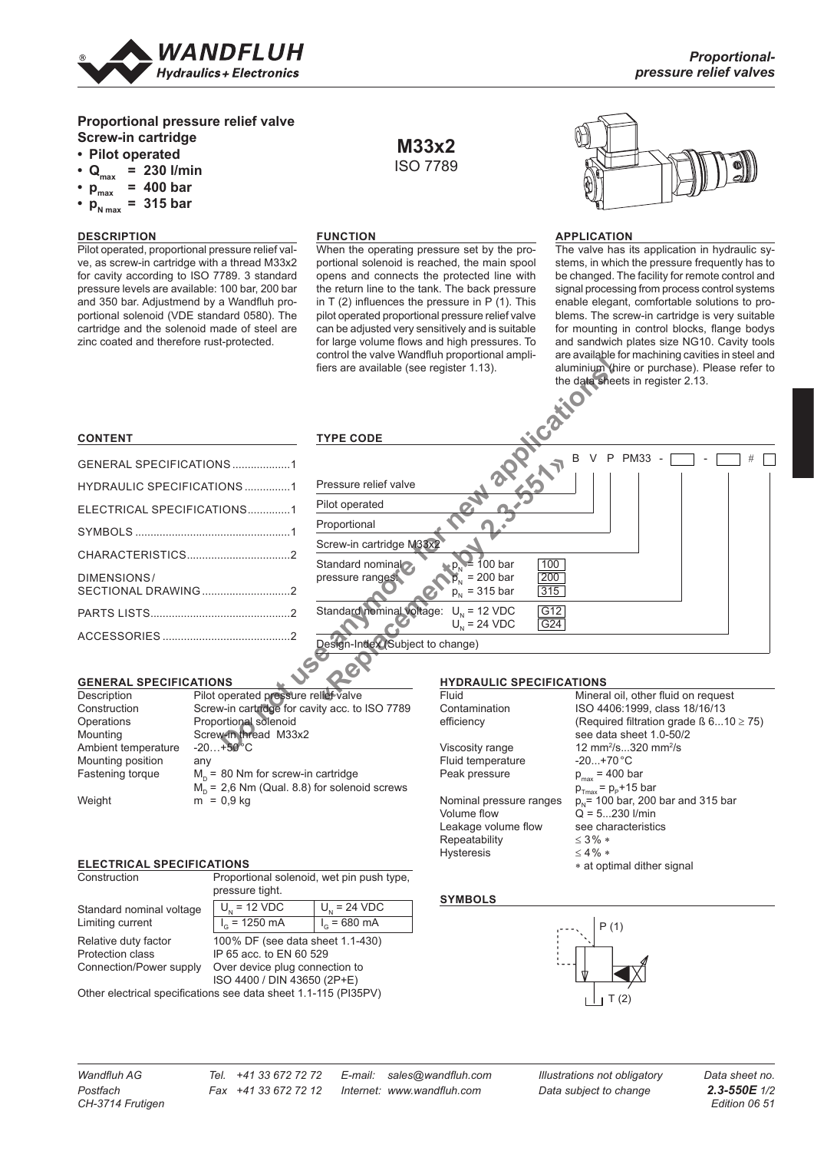

# **Proportional pressure relief valve Screw-in cartridge**

# **• Pilot operated**

- $Q_{\text{max}} = 230$  *l/min*
- $p_{max}$  = 400 **bar**
- $p_{N \max}^{\min}$  = 315 **bar**
- 

# **DESCRIPTION**

Pilot operated, proportional pressure relief valve, as screw-in cartridge with a thread M33x2 for cavity according to ISO 7789. 3 standard pressure levels are available: 100 bar, 200 bar and 350 bar. Adjustmend by a Wandfluh proportional solenoid (VDE standard 0580). The cartridge and the solenoid made of steel are zinc coated and therefore rust-protected.

#### **FUNCTION**

When the operating pressure set by the proportional solenoid is reached, the main spool opens and connects the protected line with the return line to the tank. The back pressure in  $T(2)$  influences the pressure in  $P(1)$ . This pilot operated proportional pressure relief valve can be adjusted very sensitively and is suitable for large volume flows and high pressures. To control the valve Wandfluh proportional amplifiers are available (see register 1.13).

**M33x2** ISO 7789



#### **APPLICATION**

The valve has its application in hydraulic systems, in which the pressure frequently has to be changed. The facility for remote control and signal processing from process control systems enable elegant, comfortable solutions to problems. The screw-in cartridge is very suitable for mounting in control blocks, flange bodys and sandwich plates size NG10. Cavity tools are available for machining cavities in steel and aluminium (hire or purchase). Please refer to the data sheets in register 2.13.

#### **CONTENT**

| GENERAL SPECIFICATIONS 1          |  |
|-----------------------------------|--|
| <b>HYDRAULIC SPECIFICATIONS 1</b> |  |
| ELECTRICAL SPECIFICATIONS1        |  |
|                                   |  |
|                                   |  |
| DIMENSIONS/                       |  |
|                                   |  |
|                                   |  |
|                                   |  |

### **GENERAL SPECIFICATIONS**

| Description         | Pilot operated pressure relief valve           |
|---------------------|------------------------------------------------|
| Construction        | Screw-in cartridge for cavity acc. to ISO 7789 |
| Operations          | Proportional solenoid                          |
| Mounting            | Screw-in thread M33x2                          |
| Ambient temperature | $-20+50$ °C                                    |
| Mounting position   | any                                            |
| Fastening torque    | $M_p$ = 80 Nm for screw-in cartridge           |
|                     | $Mo = 2,6$ Nm (Qual. 8.8) for solenoid screws  |
| Weight              | $m = 0.9$ kg                                   |
|                     |                                                |

#### **ELECTRICAL SPECIFICATIONS**

|               | Proportional solenoid, wet pin push type, |                          |  |
|---------------|-------------------------------------------|--------------------------|--|
|               | pressure tight.                           |                          |  |
| ninal voltage | $U_{1}$ = 12 VDC                          | $U_{1} = 24 \text{ VDC}$ |  |
|               |                                           |                          |  |

| Standard nominal voltage | $U_{1}$ = 12 VDC                 | $U_{\rm M}$ = 24 VDC   |
|--------------------------|----------------------------------|------------------------|
| Limiting current         | $I_c = 1250 \text{ mA}$          | $I_G = 680 \text{ mA}$ |
| Relative duty factor     | 100% DF (see data sheet 1.1-430) |                        |
| Protection class         | IP 65 acc. to EN 60 529          |                        |
| Connection/Power supply  | Over device plug connection to   |                        |
|                          | ISO 4400 / DIN 43650 (2P+E)      |                        |
|                          |                                  |                        |

Other electrical specifications see data sheet 1.1-115 (PI35PV)



#### **HYDRAULIC SPECIFICATIONS**

| Fluid                   | Mineral oil, other fluid                    |
|-------------------------|---------------------------------------------|
| Contamination           | ISO 4406:1999, class                        |
| efficiency              | (Required filtration gra                    |
|                         | see data sheet 1.0-50                       |
| Viscosity range         | 12 mm <sup>2</sup> /s320 mm <sup>2</sup> /s |
| Fluid temperature       | $-20+70 °C$                                 |
| Peak pressure           | $p_{max}$ = 400 bar                         |
|                         | $p_{\text{Trmax}}$ = $p_{\text{P}}$ +15 bar |
| Nominal pressure ranges | $p_{N}$ = 100 bar, 200 bar                  |
| <b>Volume flow</b>      | $Q = 5230$ I/min                            |
| Leakage volume flow     | see characteristics                         |
| Repeatability           | $\leq$ 3% $*$                               |
| <b>Hysteresis</b>       | $<$ 4% $*$                                  |
|                         |                                             |

**Aineral oil, other fluid on request** SO 4406:1999, class 18/16/13 Required filtration grade  $\beta$  6...10 ≥ 75) see data sheet 1.0-50/2  $-20. +70 °C$  $p_{\text{max}} = 400 \text{ bar}$  $p_{\text{max}} = p_{\text{p}} + 15 \text{ bar}$  $D_{\rm N}$ = 100 bar, 200 bar and 315 bar  $\vec{Q} = 5...230$  l/min Leakage volume flow see characteristics ≤ 3% ∗  $< 4 %$ ∗ at optimal dither signal

### **SYMBOLS**



Construction

*Wandfluh AG Tel. +41 33 672 72 72 E-mail: sales@wandfluh.com Illustrations not obligatory Data sheet no.*